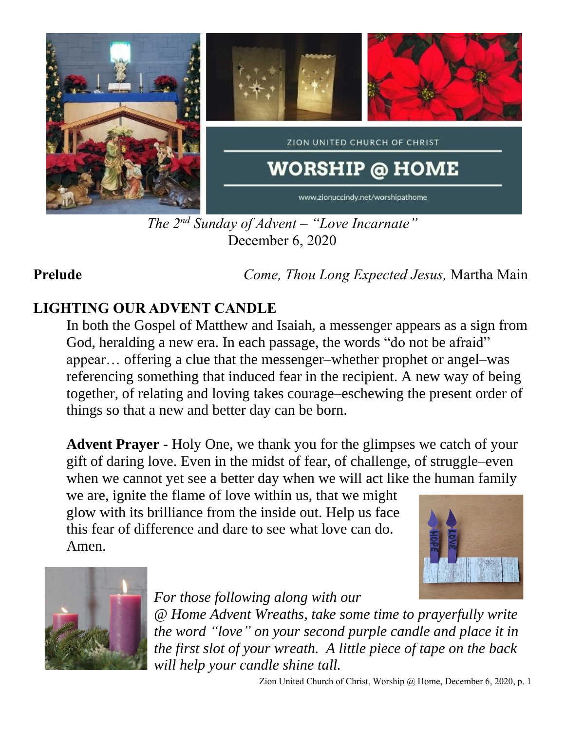

*The 2 nd Sunday of Advent – "Love Incarnate"* December 6, 2020

**Prelude** *Come, Thou Long Expected Jesus,* Martha Main

## **LIGHTING OUR ADVENT CANDLE**

In both the Gospel of Matthew and Isaiah, a messenger appears as a sign from God, heralding a new era. In each passage, the words "do not be afraid" appear… offering a clue that the messenger–whether prophet or angel–was referencing something that induced fear in the recipient. A new way of being together, of relating and loving takes courage–eschewing the present order of things so that a new and better day can be born.

**Advent Prayer** - Holy One, we thank you for the glimpses we catch of your gift of daring love. Even in the midst of fear, of challenge, of struggle–even when we cannot yet see a better day when we will act like the human family

we are, ignite the flame of love within us, that we might glow with its brilliance from the inside out. Help us face this fear of difference and dare to see what love can do. Amen.





*For those following along with our @ Home Advent Wreaths, take some time to prayerfully write the word "love" on your second purple candle and place it in the first slot of your wreath. A little piece of tape on the back will help your candle shine tall.* 

Zion United Church of Christ, Worship @ Home, December 6, 2020, p. 1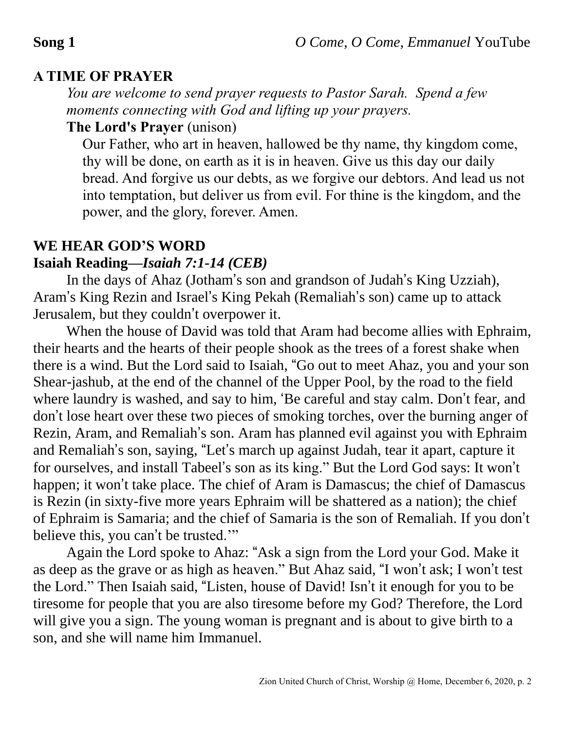#### **A TIME OF PRAYER**

*You are welcome to send prayer requests to Pastor Sarah. Spend a few moments connecting with God and lifting up your prayers.*

## **The Lord's Prayer** (unison)

Our Father, who art in heaven, hallowed be thy name, thy kingdom come, thy will be done, on earth as it is in heaven. Give us this day our daily bread. And forgive us our debts, as we forgive our debtors. And lead us not into temptation, but deliver us from evil. For thine is the kingdom, and the power, and the glory, forever. Amen.

## **WE HEAR GOD'S WORD**

## **Isaiah Reading—***Isaiah 7:1-14 (CEB)*

In the days of Ahaz (Jotham's son and grandson of Judah's King Uzziah), Aram's King Rezin and Israel's King Pekah (Remaliah's son) came up to attack Jerusalem, but they couldn't overpower it.

When the house of David was told that Aram had become allies with Ephraim, their hearts and the hearts of their people shook as the trees of a forest shake when there is a wind. But the Lord said to Isaiah, "Go out to meet Ahaz, you and your son Shear-jashub, at the end of the channel of the Upper Pool, by the road to the field where laundry is washed, and say to him, 'Be careful and stay calm. Don't fear, and don't lose heart over these two pieces of smoking torches, over the burning anger of Rezin, Aram, and Remaliah's son. Aram has planned evil against you with Ephraim and Remaliah's son, saying, "Let's march up against Judah, tear it apart, capture it for ourselves, and install Tabeel's son as its king." But the Lord God says: It won't happen; it won't take place. The chief of Aram is Damascus; the chief of Damascus is Rezin (in sixty-five more years Ephraim will be shattered as a nation); the chief of Ephraim is Samaria; and the chief of Samaria is the son of Remaliah. If you don't believe this, you can't be trusted."

Again the Lord spoke to Ahaz: "Ask a sign from the Lord your God. Make it as deep as the grave or as high as heaven." But Ahaz said, "I won't ask; I won't test the Lord." Then Isaiah said, "Listen, house of David! Isn't it enough for you to be tiresome for people that you are also tiresome before my God? Therefore, the Lord will give you a sign. The young woman is pregnant and is about to give birth to a son, and she will name him Immanuel.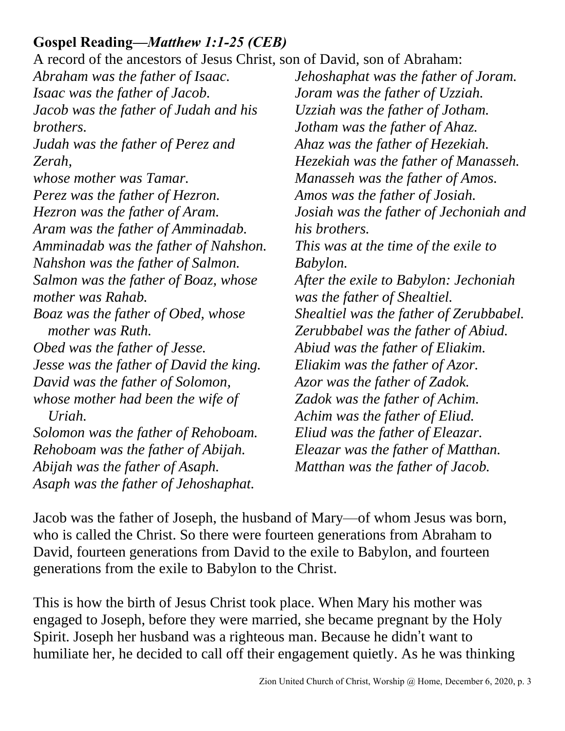## **Gospel Reading—***Matthew 1:1-25 (CEB)*

A record of the ancestors of Jesus Christ, son of David, son of Abraham: *Abraham was the father of Isaac. Isaac was the father of Jacob. Jacob was the father of Judah and his brothers. Judah was the father of Perez and Zerah, whose mother was Tamar. Perez was the father of Hezron. Hezron was the father of Aram. Aram was the father of Amminadab. Amminadab was the father of Nahshon. Nahshon was the father of Salmon. Salmon was the father of Boaz, whose mother was Rahab. Boaz was the father of Obed, whose mother was Ruth. Obed was the father of Jesse. Jesse was the father of David the king. David was the father of Solomon, whose mother had been the wife of Uriah. Solomon was the father of Rehoboam. Rehoboam was the father of Abijah. Abijah was the father of Asaph. Asaph was the father of Jehoshaphat. his brothers. Babylon.*

*Jehoshaphat was the father of Joram. Joram was the father of Uzziah. Uzziah was the father of Jotham. Jotham was the father of Ahaz. Ahaz was the father of Hezekiah. Hezekiah was the father of Manasseh. Manasseh was the father of Amos. Amos was the father of Josiah. Josiah was the father of Jechoniah and This was at the time of the exile to After the exile to Babylon: Jechoniah was the father of Shealtiel. Shealtiel was the father of Zerubbabel. Zerubbabel was the father of Abiud. Abiud was the father of Eliakim. Eliakim was the father of Azor. Azor was the father of Zadok. Zadok was the father of Achim. Achim was the father of Eliud. Eliud was the father of Eleazar. Eleazar was the father of Matthan. Matthan was the father of Jacob.*

Jacob was the father of Joseph, the husband of Mary—of whom Jesus was born, who is called the Christ. So there were fourteen generations from Abraham to David, fourteen generations from David to the exile to Babylon, and fourteen generations from the exile to Babylon to the Christ.

This is how the birth of Jesus Christ took place. When Mary his mother was engaged to Joseph, before they were married, she became pregnant by the Holy Spirit. Joseph her husband was a righteous man. Because he didn't want to humiliate her, he decided to call off their engagement quietly. As he was thinking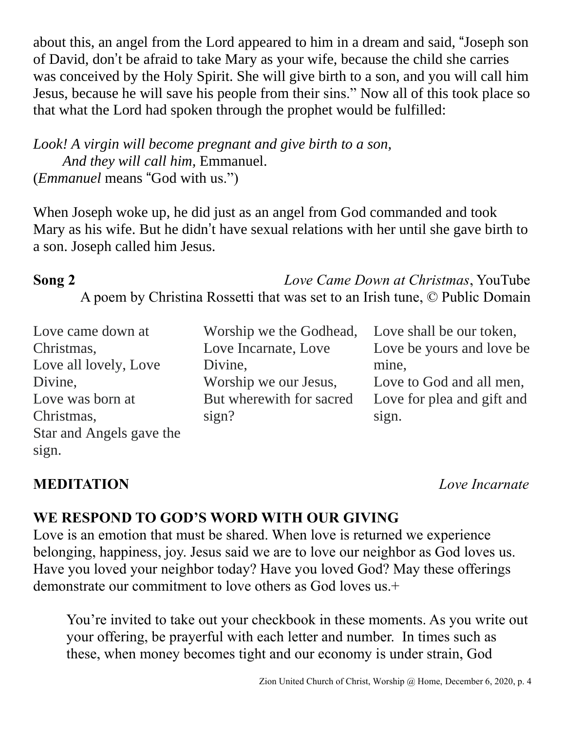about this, an angel from the Lord appeared to him in a dream and said, "Joseph son of David, don't be afraid to take Mary as your wife, because the child she carries was conceived by the Holy Spirit. She will give birth to a son, and you will call him Jesus, because he will save his people from their sins." Now all of this took place so that what the Lord had spoken through the prophet would be fulfilled:

*Look! A virgin will become pregnant and give birth to a son, And they will call him,* Emmanuel. (*Emmanuel* means "God with us.")

When Joseph woke up, he did just as an angel from God commanded and took Mary as his wife. But he didn't have sexual relations with her until she gave birth to a son. Joseph called him Jesus.

#### **Song 2** *Love Came Down at Christmas*, YouTube A poem by Christina Rossetti that was set to an Irish tune, © Public Domain

| Love came down at        | Worship we the Godhead,  | Love shall be our token,   |
|--------------------------|--------------------------|----------------------------|
| Christmas,               | Love Incarnate, Love     | Love be yours and love be  |
| Love all lovely, Love    | Divine,                  | mine,                      |
| Divine,                  | Worship we our Jesus,    | Love to God and all men,   |
| Love was born at         | But wherewith for sacred | Love for plea and gift and |
| Christmas,               | sign?                    | sign.                      |
| Star and Angels gave the |                          |                            |
| sign.                    |                          |                            |

## **MEDITATION** *Love Incarnate*

# **WE RESPOND TO GOD'S WORD WITH OUR GIVING**

Love is an emotion that must be shared. When love is returned we experience belonging, happiness, joy. Jesus said we are to love our neighbor as God loves us. Have you loved your neighbor today? Have you loved God? May these offerings demonstrate our commitment to love others as God loves us.+

You're invited to take out your checkbook in these moments. As you write out your offering, be prayerful with each letter and number. In times such as these, when money becomes tight and our economy is under strain, God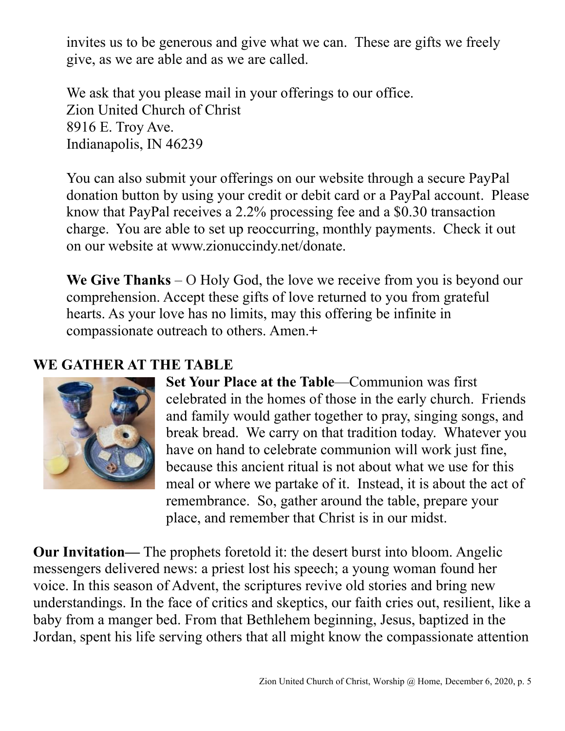invites us to be generous and give what we can. These are gifts we freely give, as we are able and as we are called.

We ask that you please mail in your offerings to our office. Zion United Church of Christ 8916 E. Troy Ave. Indianapolis, IN 46239

You can also submit your offerings on our website through a secure PayPal donation button by using your credit or debit card or a PayPal account. Please know that PayPal receives a 2.2% processing fee and a \$0.30 transaction charge. You are able to set up reoccurring, monthly payments. Check it out on our website at www.zionuccindy.net/donate.

**We Give Thanks** – O Holy God, the love we receive from you is beyond our comprehension. Accept these gifts of love returned to you from grateful hearts. As your love has no limits, may this offering be infinite in compassionate outreach to others. Amen.**+**

## **WE GATHER AT THE TABLE**



**Set Your Place at the Table**—Communion was first celebrated in the homes of those in the early church. Friends and family would gather together to pray, singing songs, and break bread. We carry on that tradition today. Whatever you have on hand to celebrate communion will work just fine, because this ancient ritual is not about what we use for this meal or where we partake of it. Instead, it is about the act of remembrance. So, gather around the table, prepare your place, and remember that Christ is in our midst.

**Our Invitation—** The prophets foretold it: the desert burst into bloom. Angelic messengers delivered news: a priest lost his speech; a young woman found her voice. In this season of Advent, the scriptures revive old stories and bring new understandings. In the face of critics and skeptics, our faith cries out, resilient, like a baby from a manger bed. From that Bethlehem beginning, Jesus, baptized in the Jordan, spent his life serving others that all might know the compassionate attention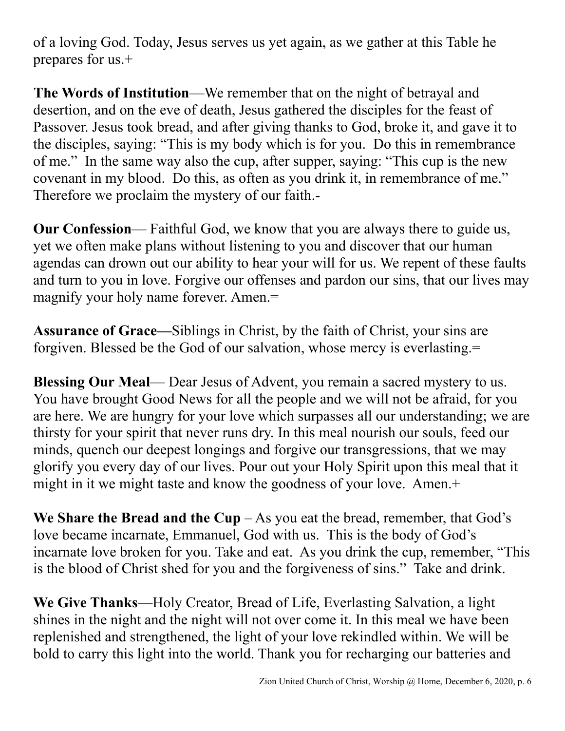of a loving God. Today, Jesus serves us yet again, as we gather at this Table he prepares for us.+

**The Words of Institution**—We remember that on the night of betrayal and desertion, and on the eve of death, Jesus gathered the disciples for the feast of Passover. Jesus took bread, and after giving thanks to God, broke it, and gave it to the disciples, saying: "This is my body which is for you. Do this in remembrance of me." In the same way also the cup, after supper, saying: "This cup is the new covenant in my blood. Do this, as often as you drink it, in remembrance of me." Therefore we proclaim the mystery of our faith.-

**Our Confession**— Faithful God, we know that you are always there to guide us, yet we often make plans without listening to you and discover that our human agendas can drown out our ability to hear your will for us. We repent of these faults and turn to you in love. Forgive our offenses and pardon our sins, that our lives may magnify your holy name forever. Amen.=

**Assurance of Grace—**Siblings in Christ, by the faith of Christ, your sins are forgiven. Blessed be the God of our salvation, whose mercy is everlasting.=

**Blessing Our Meal—** Dear Jesus of Advent, you remain a sacred mystery to us. You have brought Good News for all the people and we will not be afraid, for you are here. We are hungry for your love which surpasses all our understanding; we are thirsty for your spirit that never runs dry. In this meal nourish our souls, feed our minds, quench our deepest longings and forgive our transgressions, that we may glorify you every day of our lives. Pour out your Holy Spirit upon this meal that it might in it we might taste and know the goodness of your love. Amen.+

**We Share the Bread and the Cup**  $-As$  you eat the bread, remember, that God's love became incarnate, Emmanuel, God with us. This is the body of God's incarnate love broken for you. Take and eat. As you drink the cup, remember, "This is the blood of Christ shed for you and the forgiveness of sins." Take and drink.

**We Give Thanks**—Holy Creator, Bread of Life, Everlasting Salvation, a light shines in the night and the night will not over come it. In this meal we have been replenished and strengthened, the light of your love rekindled within. We will be bold to carry this light into the world. Thank you for recharging our batteries and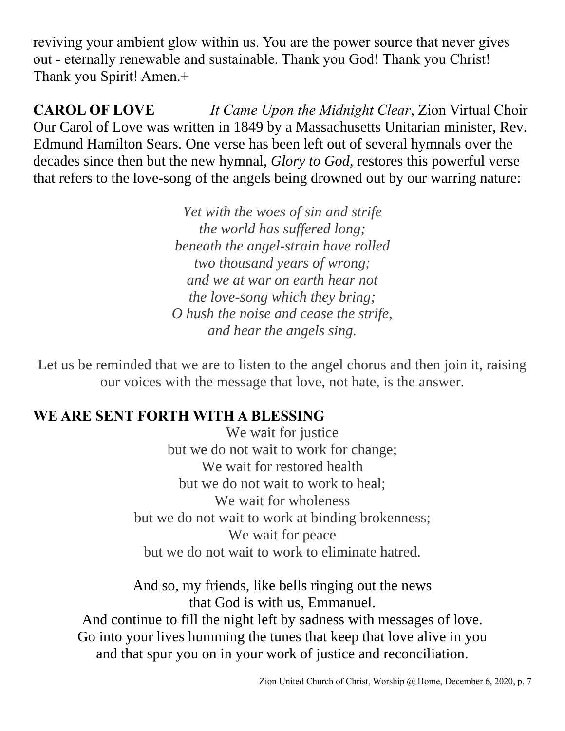reviving your ambient glow within us. You are the power source that never gives out - eternally renewable and sustainable. Thank you God! Thank you Christ! Thank you Spirit! Amen.+

**CAROL OF LOVE** *It Came Upon the Midnight Clear*, Zion Virtual Choir Our Carol of Love was written in 1849 by a Massachusetts Unitarian minister, Rev. Edmund Hamilton Sears. One verse has been left out of several hymnals over the decades since then but the new hymnal, *Glory to God,* restores this powerful verse that refers to the love-song of the angels being drowned out by our warring nature:

> *Yet with the woes of sin and strife the world has suffered long; beneath the angel-strain have rolled two thousand years of wrong; and we at war on earth hear not the love-song which they bring; O hush the noise and cease the strife, and hear the angels sing.*

Let us be reminded that we are to listen to the angel chorus and then join it, raising our voices with the message that love, not hate, is the answer.

## **WE ARE SENT FORTH WITH A BLESSING**

We wait for justice but we do not wait to work for change; We wait for restored health but we do not wait to work to heal; We wait for wholeness but we do not wait to work at binding brokenness; We wait for peace but we do not wait to work to eliminate hatred.

And so, my friends, like bells ringing out the news that God is with us, Emmanuel. And continue to fill the night left by sadness with messages of love. Go into your lives humming the tunes that keep that love alive in you and that spur you on in your work of justice and reconciliation.